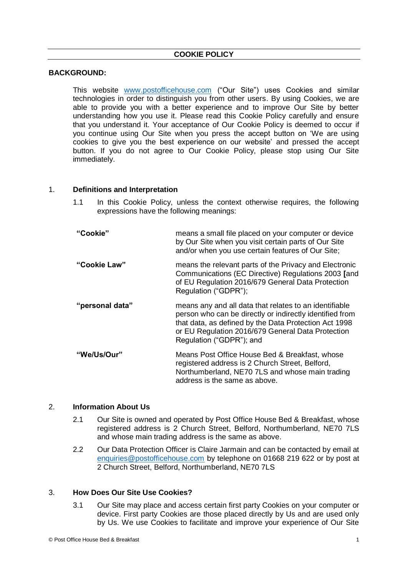## **COOKIE POLICY**

### **BACKGROUND:**

This website [www.postofficehouse.com](http://www.postofficehouse.com/) ("Our Site") uses Cookies and similar technologies in order to distinguish you from other users. By using Cookies, we are able to provide you with a better experience and to improve Our Site by better understanding how you use it. Please read this Cookie Policy carefully and ensure that you understand it. Your acceptance of Our Cookie Policy is deemed to occur if you continue using Our Site when you press the accept button on 'We are using cookies to give you the best experience on our website' and pressed the accept button. If you do not agree to Our Cookie Policy, please stop using Our Site immediately.

#### 1. **Definitions and Interpretation**

- 1.1 In this Cookie Policy, unless the context otherwise requires, the following expressions have the following meanings:
- **"Cookie"** means a small file placed on your computer or device by Our Site when you visit certain parts of Our Site and/or when you use certain features of Our Site; **"Cookie Law"** means the relevant parts of the Privacy and Electronic Communications (EC Directive) Regulations 2003 **[**and of EU Regulation 2016/679 General Data Protection Regulation ("GDPR"); **"personal data"** means any and all data that relates to an identifiable person who can be directly or indirectly identified from that data, as defined by the Data Protection Act 1998 or EU Regulation 2016/679 General Data Protection Regulation ("GDPR"); and **"We/Us/Our"** Means Post Office House Bed & Breakfast, whose registered address is 2 Church Street, Belford, Northumberland, NE70 7LS and whose main trading address is the same as above.

## 2. **Information About Us**

- 2.1 Our Site is owned and operated by Post Office House Bed & Breakfast, whose registered address is 2 Church Street, Belford, Northumberland, NE70 7LS and whose main trading address is the same as above.
- 2.2 Our Data Protection Officer is Claire Jarmain and can be contacted by email at [enquiries@postofficehouse.com](mailto:enquiries@postofficehouse.com) by telephone on 01668 219 622 or by post at 2 Church Street, Belford, Northumberland, NE70 7LS

# 3. **How Does Our Site Use Cookies?**

3.1 Our Site may place and access certain first party Cookies on your computer or device. First party Cookies are those placed directly by Us and are used only by Us. We use Cookies to facilitate and improve your experience of Our Site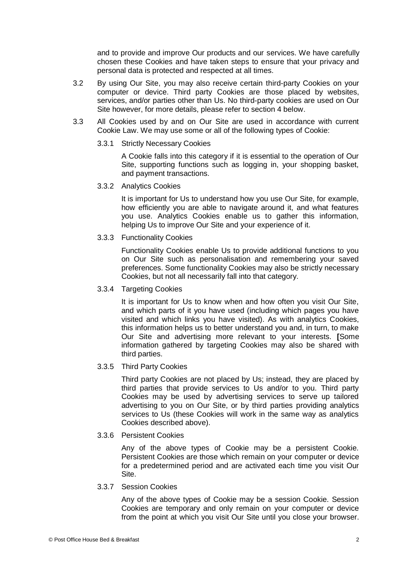and to provide and improve Our products and our services. We have carefully chosen these Cookies and have taken steps to ensure that your privacy and personal data is protected and respected at all times.

- 3.2 By using Our Site, you may also receive certain third-party Cookies on your computer or device. Third party Cookies are those placed by websites, services, and/or parties other than Us. No third-party cookies are used on Our Site however, for more details, please refer to section 4 below.
- 3.3 All Cookies used by and on Our Site are used in accordance with current Cookie Law. We may use some or all of the following types of Cookie:
	- 3.3.1 Strictly Necessary Cookies

A Cookie falls into this category if it is essential to the operation of Our Site, supporting functions such as logging in, your shopping basket, and payment transactions.

3.3.2 Analytics Cookies

It is important for Us to understand how you use Our Site, for example, how efficiently you are able to navigate around it, and what features you use. Analytics Cookies enable us to gather this information, helping Us to improve Our Site and your experience of it.

3.3.3 Functionality Cookies

Functionality Cookies enable Us to provide additional functions to you on Our Site such as personalisation and remembering your saved preferences. Some functionality Cookies may also be strictly necessary Cookies, but not all necessarily fall into that category.

3.3.4 Targeting Cookies

It is important for Us to know when and how often you visit Our Site, and which parts of it you have used (including which pages you have visited and which links you have visited). As with analytics Cookies, this information helps us to better understand you and, in turn, to make Our Site and advertising more relevant to your interests. **[**Some information gathered by targeting Cookies may also be shared with third parties.

3.3.5 Third Party Cookies

Third party Cookies are not placed by Us; instead, they are placed by third parties that provide services to Us and/or to you. Third party Cookies may be used by advertising services to serve up tailored advertising to you on Our Site, or by third parties providing analytics services to Us (these Cookies will work in the same way as analytics Cookies described above).

3.3.6 Persistent Cookies

Any of the above types of Cookie may be a persistent Cookie. Persistent Cookies are those which remain on your computer or device for a predetermined period and are activated each time you visit Our Site.

3.3.7 Session Cookies

Any of the above types of Cookie may be a session Cookie. Session Cookies are temporary and only remain on your computer or device from the point at which you visit Our Site until you close your browser.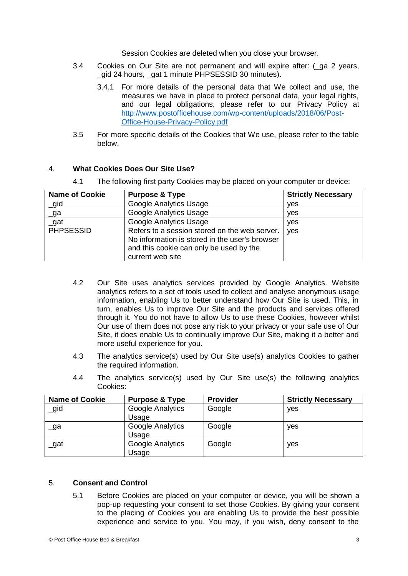Session Cookies are deleted when you close your browser.

- 3.4 Cookies on Our Site are not permanent and will expire after: (eqa 2 years, \_gid 24 hours, \_gat 1 minute PHPSESSID 30 minutes).
	- 3.4.1 For more details of the personal data that We collect and use, the measures we have in place to protect personal data, your legal rights, and our legal obligations, please refer to our Privacy Policy at [http://www.postofficehouse.com/wp-content/uploads/2018/06/Post-](http://www.postofficehouse.com/wp-content/uploads/2018/06/Post-Office-House-Privacy-Policy.pdf)[Office-House-Privacy-Policy.pdf](http://www.postofficehouse.com/wp-content/uploads/2018/06/Post-Office-House-Privacy-Policy.pdf)
- 3.5 For more specific details of the Cookies that We use, please refer to the table below.

#### 4. **What Cookies Does Our Site Use?**

4.1 The following first party Cookies may be placed on your computer or device:

| <b>Name of Cookie</b> | <b>Purpose &amp; Type</b>                                                                                                                                      | <b>Strictly Necessary</b> |
|-----------------------|----------------------------------------------------------------------------------------------------------------------------------------------------------------|---------------------------|
| $\_$ gid              | Google Analytics Usage                                                                                                                                         | ves                       |
| $\sqrt{a}$            | Google Analytics Usage                                                                                                                                         | ves                       |
| $_a$ gat              | Google Analytics Usage                                                                                                                                         | <b>ves</b>                |
| <b>PHPSESSID</b>      | Refers to a session stored on the web server.<br>No information is stored in the user's browser<br>and this cookie can only be used by the<br>current web site | ves                       |

- 4.2 Our Site uses analytics services provided by Google Analytics. Website analytics refers to a set of tools used to collect and analyse anonymous usage information, enabling Us to better understand how Our Site is used. This, in turn, enables Us to improve Our Site and the products and services offered through it. You do not have to allow Us to use these Cookies, however whilst Our use of them does not pose any risk to your privacy or your safe use of Our Site, it does enable Us to continually improve Our Site, making it a better and more useful experience for you.
- 4.3 The analytics service(s) used by Our Site use(s) analytics Cookies to gather the required information.
- 4.4 The analytics service(s) used by Our Site use(s) the following analytics Cookies:

| <b>Name of Cookie</b> | <b>Purpose &amp; Type</b> | <b>Provider</b> | <b>Strictly Necessary</b> |
|-----------------------|---------------------------|-----------------|---------------------------|
| _gid                  | Google Analytics<br>Usage | Google          | yes                       |
| _ga                   | Google Analytics<br>Usage | Google          | yes                       |
| _gat                  | Google Analytics<br>Usage | Google          | yes                       |

## 5. **Consent and Control**

5.1 Before Cookies are placed on your computer or device, you will be shown a pop-up requesting your consent to set those Cookies. By giving your consent to the placing of Cookies you are enabling Us to provide the best possible experience and service to you. You may, if you wish, deny consent to the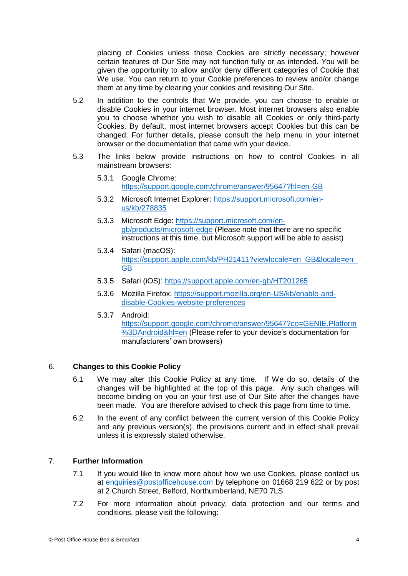placing of Cookies unless those Cookies are strictly necessary; however certain features of Our Site may not function fully or as intended. You will be given the opportunity to allow and/or deny different categories of Cookie that We use. You can return to your Cookie preferences to review and/or change them at any time by clearing your cookies and revisiting Our Site.

- 5.2 In addition to the controls that We provide, you can choose to enable or disable Cookies in your internet browser. Most internet browsers also enable you to choose whether you wish to disable all Cookies or only third-party Cookies. By default, most internet browsers accept Cookies but this can be changed. For further details, please consult the help menu in your internet browser or the documentation that came with your device.
- 5.3 The links below provide instructions on how to control Cookies in all mainstream browsers:
	- 5.3.1 Google Chrome: <https://support.google.com/chrome/answer/95647?hl=en-GB>
	- 5.3.2 Microsoft Internet Explorer: [https://support.microsoft.com/en](https://support.microsoft.com/en-us/kb/278835)[us/kb/278835](https://support.microsoft.com/en-us/kb/278835)
	- 5.3.3 Microsoft Edge: [https://support.microsoft.com/en](https://support.microsoft.com/en-gb/products/microsoft-edge)[gb/products/microsoft-edge](https://support.microsoft.com/en-gb/products/microsoft-edge) (Please note that there are no specific instructions at this time, but Microsoft support will be able to assist)
	- 5.3.4 Safari (macOS): https://support.apple.com/kb/PH21411?viewlocale=en\_GB&locale=en [GB](https://support.apple.com/kb/PH21411?viewlocale=en_GB&locale=en_GB)
	- 5.3.5 Safari (iOS):<https://support.apple.com/en-gb/HT201265>
	- 5.3.6 Mozilla Firefox: [https://support.mozilla.org/en-US/kb/enable-and](https://support.mozilla.org/en-US/kb/enable-and-disable-cookies-website-preferences)[disable-Cookies-website-preferences](https://support.mozilla.org/en-US/kb/enable-and-disable-cookies-website-preferences)
	- 5.3.7 Android:

[https://support.google.com/chrome/answer/95647?co=GENIE.Platform](https://support.google.com/chrome/answer/95647?co=GENIE.Platform%3DAndroid&hl=en) [%3DAndroid&hl=en](https://support.google.com/chrome/answer/95647?co=GENIE.Platform%3DAndroid&hl=en) (Please refer to your device's documentation for manufacturers' own browsers)

## 6. **Changes to this Cookie Policy**

- 6.1 We may alter this Cookie Policy at any time. If We do so, details of the changes will be highlighted at the top of this page. Any such changes will become binding on you on your first use of Our Site after the changes have been made. You are therefore advised to check this page from time to time.
- 6.2 In the event of any conflict between the current version of this Cookie Policy and any previous version(s), the provisions current and in effect shall prevail unless it is expressly stated otherwise.

## 7. **Further Information**

- 7.1 If you would like to know more about how we use Cookies, please contact us at [enquiries@postofficehouse.com](mailto:enquiries@postofficehouse.com) by telephone on 01668 219 622 or by post at 2 Church Street, Belford, Northumberland, NE70 7LS
- 7.2 For more information about privacy, data protection and our terms and conditions, please visit the following: